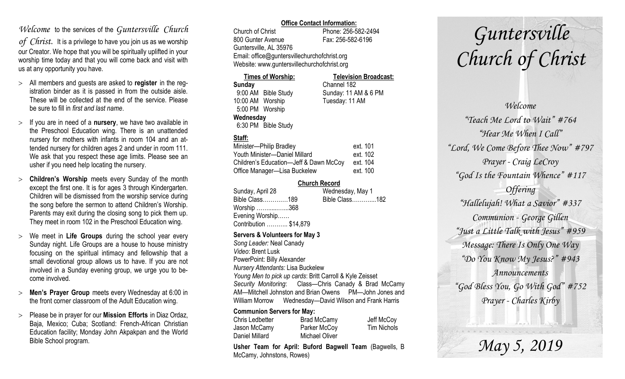### *Welcome* to the services of the *Guntersville Church*

*of Christ*. It is a privilege to have you join us as we worship our Creator. We hope that you will be spiritually uplifted in your worship time today and that you will come back and visit with us at any opportunity you have.

- All members and guests are asked to **register** in the registration binder as it is passed in from the outside aisle. These will be collected at the end of the service. Please be sure to fill in *first and last name*.
- $>$  If you are in need of a **nursery**, we have two available in the Preschool Education wing. There is an unattended nursery for mothers with infants in room 104 and an attended nursery for children ages 2 and under in room 111. We ask that you respect these age limits. Please see an usher if you need help locating the nursery.
- **Children's Worship** meets every Sunday of the month except the first one. It is for ages 3 through Kindergarten. Children will be dismissed from the worship service during the song before the sermon to attend Children's Worship. Parents may exit during the closing song to pick them up. They meet in room 102 in the Preschool Education wing.
- We meet in **Life Groups** during the school year every Sunday night. Life Groups are a house to house ministry focusing on the spiritual intimacy and fellowship that a small devotional group allows us to have. If you are not involved in a Sunday evening group, we urge you to become involved.
- **Men's Prayer Group** meets every Wednesday at 6:00 in the front corner classroom of the Adult Education wing.
- Please be in prayer for our **Mission Efforts** in Diaz Ordaz, Baja, Mexico; Cuba; Scotland: French-African Christian Education facility; Monday John Akpakpan and the World Bible School program.

#### **Office Contact Information:**

Church of Christ Phone: 256-582-2494 800 Gunter Avenue Fax: 256-582-6196 Guntersville, AL 35976 Email: office@guntersvillechurchofchrist.org Website: www.guntersvillechurchofchrist.org

#### **Times of Worship: Television Broadcast: Sunday** Channel 182 9:00 AM Bible Study Sunday: 11 AM & 6 PM 10:00 AM Worship Tuesday: 11 AM 5:00 PM Worship **Wednesday** 6:30 PM Bible Study

#### **Staff:**

| Minister-Philip Bradley                | ext. 101 |
|----------------------------------------|----------|
| Youth Minister-Daniel Millard          | ext. 102 |
| Children's Education-Jeff & Dawn McCoy | ext. 104 |
| Office Manager-Lisa Buckelew           | ext. 100 |

#### **Church Record**

| Sunday, April 28       | Wednesday, May 1 |
|------------------------|------------------|
| Bible Class189         | Bible Class182   |
| Worship 368            |                  |
| Evening Worship        |                  |
| Contribution  \$14,879 |                  |

#### **Servers & Volunteers for May 3**

*Song Leader:* Neal Canady *Video*: Brent Lusk PowerPoint: Billy Alexander *Nursery Attendants:* Lisa Buckelew *Young Men to pick up cards*: Britt Carroll & Kyle Zeisset *Security Monitoring*: Class—Chris Canady & Brad McCamy AM—Mitchell Johnston and Brian Owens PM—John Jones and William Morrow Wednesday—David Wilson and Frank Harris

#### **Communion Servers for May:**

| Chris Ledbetter | <b>Brad McCamy</b> | Jeff McCoy  |
|-----------------|--------------------|-------------|
| Jason McCamy    | Parker McCoy       | Tim Nichols |
| Daniel Millard  | Michael Oliver     |             |

**Usher Team for April: Buford Bagwell Team** (Bagwells, B McCamy, Johnstons, Rowes)

# *Guntersville Church of Christ*

*Welcome "Teach Me Lord to Wait" #764 "Hear Me When I Call" "Lord, We Come Before Thee Now" #797 Prayer - Craig LeCroy "God Is the Fountain Whence" #117 Offering "Hallelujah! What a Savior" #337 Communion - George Gillen "Just a Little Talk with Jesus" #959 Message: There Is Only One Way "Do You Know My Jesus?" #943 Announcements "God Bless You, Go With God" #752 Prayer - Charles Kirby*

*May 5, 2019*